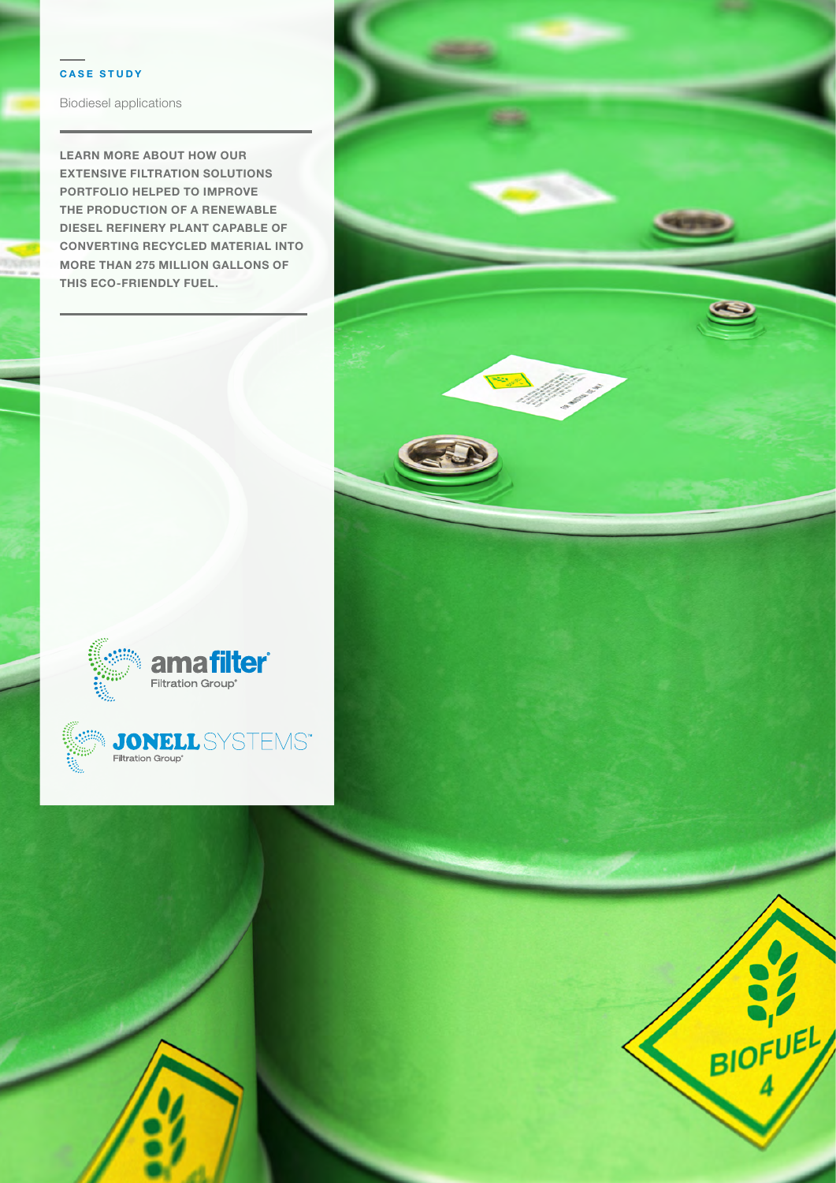### **CASE STUDY**

Biodiesel applications

**LEARN MORE ABOUT HOW OUR EXTENSIVE FILTRATION SOLUTIONS PORTFOLIO HELPED TO IMPROVE THE PRODUCTION OF A RENEWABLE DIESEL REFINERY PLANT CAPABLE OF CONVERTING RECYCLED MATERIAL INTO MORE THAN 275 MILLION GALLONS OF THIS ECO-FRIENDLY FUEL.**